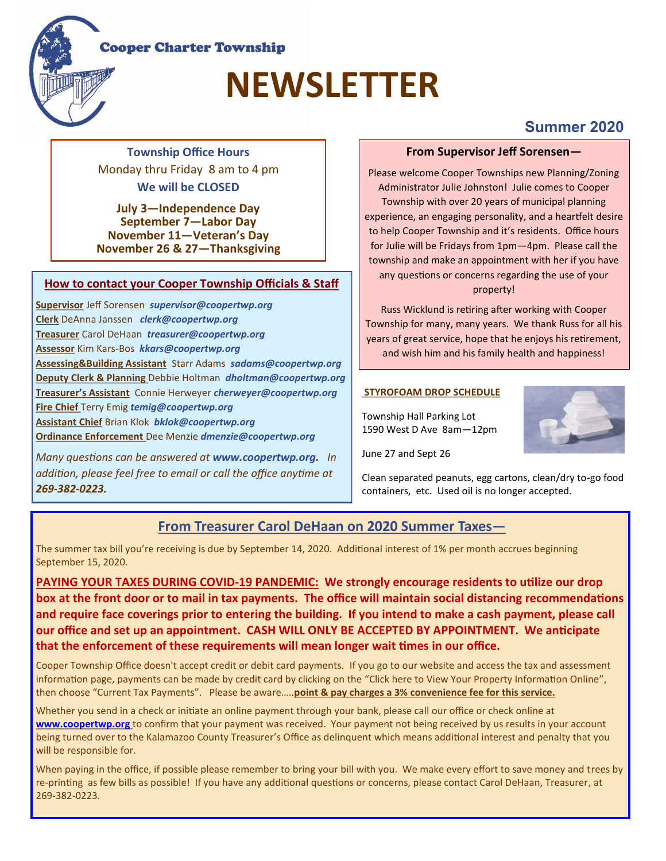## **Cooper Charter Township**

# **NEWSLETTER**

**Township Office Hours**  Monday thru Friday 8 am to 4 pm **We will be CLOSED** 

**July 3—Independence Day September 7—Labor Day November 11—Veteran's Day November 26 & 27—Thanksgiving**

## **How to contact your Cooper Township Officials & Staff**

**Supervisor** Jeff Sorensen *supervisor@coopertwp.org*  **Clerk** DeAnna Janssen *clerk@coopertwp.org* **Treasurer** Carol DeHaan *treasurer@coopertwp.org*  **Assessor** Kim Kars-Bos *kkars@coopertwp.org*  **Assessing&Building Assistant** Starr Adams *sadams@coopertwp.org*  **Deputy Clerk & Planning** Debbie Holtman *dholtman@coopertwp.org*  **Treasurer's Assistant** Connie Herweyer *cherweyer@coopertwp.org*  **Fire Chief** Terry Emig *temig@coopertwp.org*  **Assistant Chief** Brian Klok *bklok@coopertwp.org*  **Ordinance Enforcement** Dee Menzie *dmenzie@coopertwp.org* 

*Many questions can be answered at www.coopertwp.org. In addition, please feel free to email or call the office anytime at 269-382-0223.*

## **From Supervisor Jeff Sorensen—**

**Summer 2020**

Please welcome Cooper Townships new Planning/Zoning Administrator Julie Johnston! Julie comes to Cooper Township with over 20 years of municipal planning experience, an engaging personality, and a heartfelt desire to help Cooper Township and it's residents. Office hours for Julie will be Fridays from 1pm—4pm. Please call the township and make an appointment with her if you have any questions or concerns regarding the use of your property!

Russ Wicklund is retiring after working with Cooper Township for many, many years. We thank Russ for all his years of great service, hope that he enjoys his retirement, and wish him and his family health and happiness!

## **STYROFOAM DROP SCHEDULE**

Township Hall Parking Lot 1590 West D Ave 8am—12pm

June 27 and Sept 26

Clean separated peanuts, egg cartons, clean/dry to-go food containers, etc. Used oil is no longer accepted.

## **From Treasurer Carol DeHaan on 2020 Summer Taxes—**

The summer tax bill you're receiving is due by September 14, 2020. Additional interest of 1% per month accrues beginning September 15, 2020.

**PAYING YOUR TAXES DURING COVID-19 PANDEMIC: We strongly encourage residents to utilize our drop box at the front door or to mail in tax payments. The office will maintain social distancing recommendations and require face coverings prior to entering the building. If you intend to make a cash payment, please call our office and set up an appointment. CASH WILL ONLY BE ACCEPTED BY APPOINTMENT. We anticipate that the enforcement of these requirements will mean longer wait times in our office.**

Cooper Township Office doesn't accept credit or debit card payments. If you go to our website and access the tax and assessment information page, payments can be made by credit card by clicking on the "Click here to View Your Property Information Online", then choose "Current Tax Payments". Please be aware…..**point & pay charges a 3% convenience fee for this service.**

Whether you send in a check or initiate an online payment through your bank, please call our office or check online at **www.coopertwp.org** to confirm that your payment was received. Your payment not being received by us results in your account being turned over to the Kalamazoo County Treasurer's Office as delinquent which means additional interest and penalty that you will be responsible for.

When paying in the office, if possible please remember to bring your bill with you. We make every effort to save money and trees by re-printing as few bills as possible! If you have any additional questions or concerns, please contact Carol DeHaan, Treasurer, at 269-382-0223.